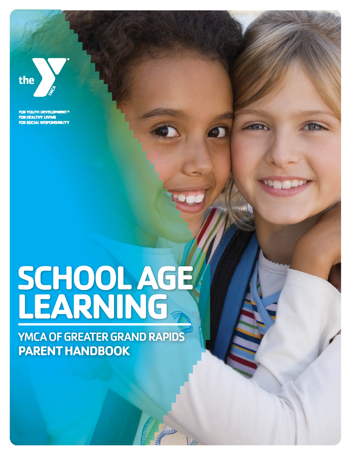

FOR YOUTH DEVELOPMENT® FOR HEALTHY LIVING FOR SOCIAL RESPONSIBILITY

# SCHOOLAGE<br>LEARNING

**YMCA OF GREATER GRAND RAPIDS PARENT HANDBOOK**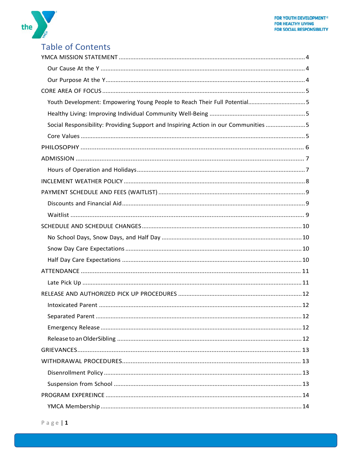

# Table of Contents

| Youth Development: Empowering Young People to Reach Their Full Potential5          |  |
|------------------------------------------------------------------------------------|--|
|                                                                                    |  |
| Social Responsibility: Providing Support and Inspiring Action in our Communities 5 |  |
|                                                                                    |  |
|                                                                                    |  |
|                                                                                    |  |
|                                                                                    |  |
|                                                                                    |  |
|                                                                                    |  |
|                                                                                    |  |
|                                                                                    |  |
|                                                                                    |  |
|                                                                                    |  |
|                                                                                    |  |
|                                                                                    |  |
|                                                                                    |  |
|                                                                                    |  |
|                                                                                    |  |
|                                                                                    |  |
|                                                                                    |  |
|                                                                                    |  |
|                                                                                    |  |
|                                                                                    |  |
|                                                                                    |  |
|                                                                                    |  |
|                                                                                    |  |
|                                                                                    |  |
|                                                                                    |  |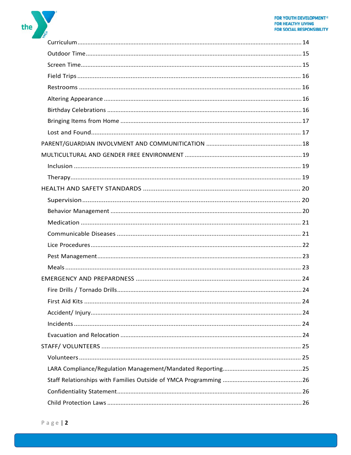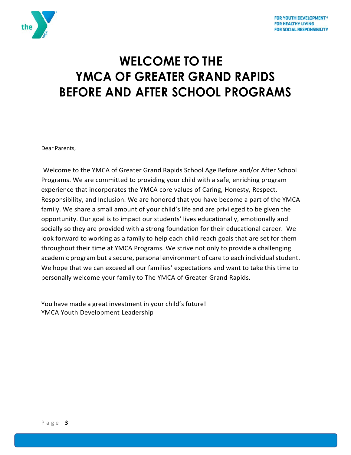

# **WELCOME TO THE YMCA OF GREATER GRAND RAPIDS BEFORE AND AFTER SCHOOL PROGRAMS**

Dear Parents,

Welcome to the YMCA of Greater Grand Rapids School Age Before and/or After School Programs. We are committed to providing your child with a safe, enriching program experience that incorporates the YMCA core values of Caring, Honesty, Respect, Responsibility, and Inclusion. We are honored that you have become a part of the YMCA family. We share a small amount of your child's life and are privileged to be given the opportunity. Our goal is to impact our students' lives educationally, emotionally and socially so they are provided with a strong foundation for their educational career. We look forward to working as a family to help each child reach goals that are set for them throughout their time at YMCA Programs. We strive not only to provide a challenging academic program but a secure, personal environment of care to each individual student. We hope that we can exceed all our families' expectations and want to take this time to personally welcome your family to The YMCA of Greater Grand Rapids.

You have made a great investment in your child's future! YMCA Youth Development Leadership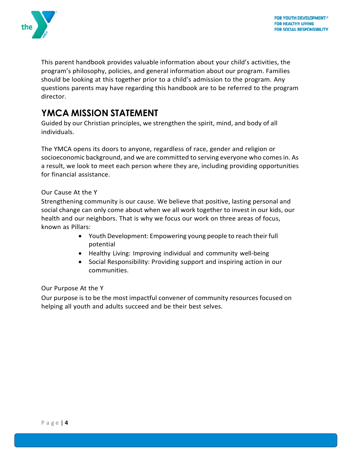

<span id="page-4-3"></span>This parent handbook provides valuable information about your child's activities, the program's philosophy, policies, and general information about our program. Families should be looking at this together prior to a child's admission to the program. Any questions parents may have regarding this handbook are to be referred to the program director.

# <span id="page-4-0"></span>**YMCA MISSION STATEMENT**

Guided by our Christian principles, we strengthen the spirit, mind, and body of all individuals.

The YMCA opens its doors to anyone, regardless of race, gender and religion or socioeconomic background, and we are committed to serving everyone who comes in. As a result, we look to meet each person where they are, including providing opportunities for financial assistance.

### <span id="page-4-1"></span>Our Cause At the Y

Strengthening community is our cause. We believe that positive, lasting personal and social change can only come about when we all work together to invest in our kids, our health and our neighbors. That is why we focus our work on three areas of focus, known as Pillars:

- Youth Development: Empowering young people to reach their full potential
- Healthy Living: Improving individual and community well-being
- Social Responsibility: Providing support and inspiring action in our communities.

### <span id="page-4-2"></span>Our Purpose At the Y

Our purpose is to be the most impactful convener of community resources focused on helping all youth and adults succeed and be their best selves.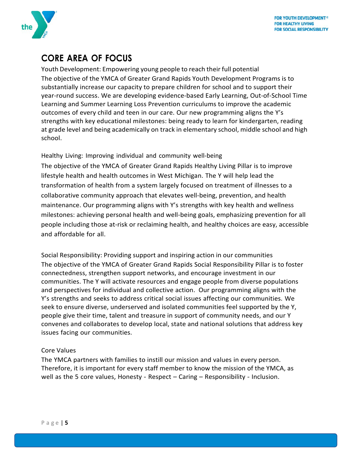

# <span id="page-5-0"></span>**CORE AREA OF FOCUS**

Youth Development: Empowering young people to reach their full potential The objective of the YMCA of Greater Grand Rapids Youth Development Programs is to substantially increase our capacity to prepare children for school and to support their year-round success. We are developing evidence-based Early Learning, Out-of-School Time Learning and Summer Learning Loss Prevention curriculums to improve the academic outcomes of every child and teen in our care. Our new programming aligns the Y's strengths with key educational milestones: being ready to learn for kindergarten, reading at grade level and being academically on track in elementary school, middle school and high school.

<span id="page-5-1"></span>Healthy Living: Improving individual and community well-being

The objective of the YMCA of Greater Grand Rapids Healthy Living Pillar is to improve lifestyle health and health outcomes in West Michigan. The Y will help lead the transformation of health from a system largely focused on treatment of illnesses to a collaborative community approach that elevates well-being, prevention, and health maintenance. Our programming aligns with Y's strengths with key health and wellness milestones: achieving personal health and well-being goals, emphasizing prevention for all people including those at-risk or reclaiming health, and healthy choices are easy, accessible and affordable for all.

<span id="page-5-2"></span>Social Responsibility: Providing support and inspiring action in our communities The objective of the YMCA of Greater Grand Rapids Social Responsibility Pillar is to foster connectedness, strengthen support networks, and encourage investment in our communities. The Y will activate resources and engage people from diverse populations and perspectives for individual and collective action. Our programming aligns with the Y's strengths and seeks to address critical social issues affecting our communities. We seek to ensure diverse, underserved and isolated communities feel supported by the Y, people give their time, talent and treasure in support of community needs, and our Y convenes and collaborates to develop local, state and national solutions that address key issues facing our communities.

### <span id="page-5-3"></span>Core Values

The YMCA partners with families to instill our mission and values in every person. Therefore, it is important for every staff member to know the mission of the YMCA, as well as the 5 core values, Honesty - Respect – Caring – Responsibility - Inclusion.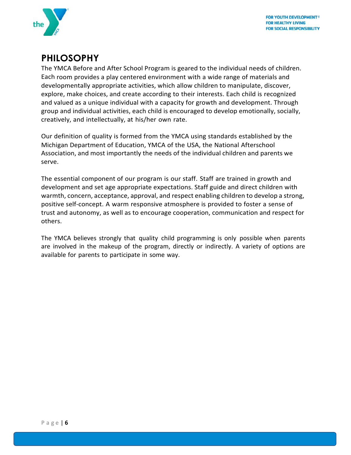

# <span id="page-6-0"></span>**PHILOSOPHY**

The YMCA Before and After School Program is geared to the individual needs of children. Each room provides a play centered environment with a wide range of materials and developmentally appropriate activities, which allow children to manipulate, discover, explore, make choices, and create according to their interests. Each child is recognized and valued as a unique individual with a capacity for growth and development. Through group and individual activities, each child is encouraged to develop emotionally, socially, creatively, and intellectually, at his/her own rate.

Our definition of quality is formed from the YMCA using standards established by the Michigan Department of Education, YMCA of the USA, the National Afterschool Association, and most importantly the needs of the individual children and parents we serve.

The essential component of our program is our staff. Staff are trained in growth and development and set age appropriate expectations. Staff guide and direct children with warmth, concern, acceptance, approval, and respect enabling children to develop a strong, positive self-concept. A warm responsive atmosphere is provided to foster a sense of trust and autonomy, as well as to encourage cooperation, communication and respect for others.

The YMCA believes strongly that quality child programming is only possible when parents are involved in the makeup of the program, directly or indirectly. A variety of options are available for parents to participate in some way.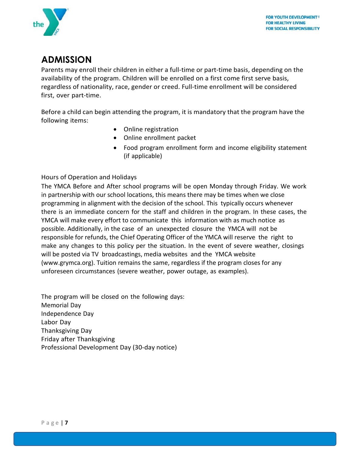

# <span id="page-7-0"></span>**ADMISSION**

Parents may enroll their children in either a full-time or part-time basis, depending on the availability of the program. Children will be enrolled on a first come first serve basis, regardless of nationality, race, gender or creed. Full-time enrollment will be considered first, over part-time.

Before a child can begin attending the program, it is mandatory that the program have the following items:

- Online registration
- Online enrollment packet
- Food program enrollment form and income eligibility statement (if applicable)

### <span id="page-7-1"></span>Hours of Operation and Holidays

The YMCA Before and After school programs will be open Monday through Friday. We work in partnership with our school locations, this means there may be times when we close programming in alignment with the decision of the school. This typically occurs whenever there is an immediate concern for the staff and children in the program. In these cases, the YMCA will make every effort to communicate this information with as much notice as possible. Additionally, in the case of an unexpected closure the YMCA will not be responsible for refunds, the Chief Operating Officer of the YMCA will reserve the right to make any changes to this policy per the situation. In the event of severe weather, closings will be posted via TV broadcastings, media websites and the YMCA website (www.grymca.org). Tuition remains the same, regardless if the program closes for any unforeseen circumstances (severe weather, power outage, as examples).

The program will be closed on the following days: Memorial Day Independence Day Labor Day Thanksgiving Day Friday after Thanksgiving Professional Development Day (30-day notice)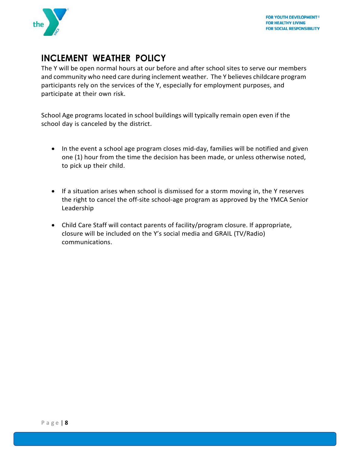

# <span id="page-8-0"></span>**INCLEMENT WEATHER POLICY**

The Y will be open normal hours at our before and after school sites to serve our members and community who need care during inclement weather. The Y believes childcare program participants rely on the services of the Y, especially for employment purposes, and participate at their own risk.

School Age programs located in school buildings will typically remain open even if the school day is canceled by the district.

- In the event a school age program closes mid-day, families will be notified and given one (1) hour from the time the decision has been made, or unless otherwise noted, to pick up their child.
- If a situation arises when school is dismissed for a storm moving in, the Y reserves the right to cancel the off-site school-age program as approved by the YMCA Senior Leadership
- Child Care Staff will contact parents of facility/program closure. If appropriate, closure will be included on the Y's social media and GRAIL (TV/Radio) communications.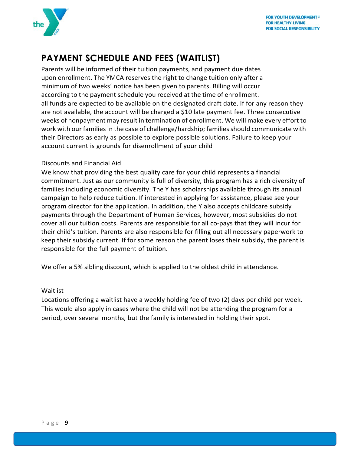

# <span id="page-9-0"></span>**PAYMENT SCHEDULE AND FEES (WAITLIST)**

Parents will be informed of their tuition payments, and payment due dates upon enrollment. The YMCA reserves the right to change tuition only after a minimum of two weeks' notice has been given to parents. Billing will occur according to the payment schedule you received at the time of enrollment. all funds are expected to be available on the designated draft date. If for any reason they are not available, the account will be charged a \$10 late payment fee. Three consecutive weeks of nonpayment may result in termination of enrollment. We will make every effort to work with our families in the case of challenge/hardship; families should communicate with their Directors as early as possible to explore possible solutions. Failure to keep your account current is grounds for disenrollment of your child

### <span id="page-9-1"></span>Discounts and Financial Aid

We know that providing the best quality care for your child represents a financial commitment. Just as our community is full of diversity, this program has a rich diversity of families including economic diversity. The Y has scholarships available through its annual campaign to help reduce tuition. If interested in applying for assistance, please see your program director for the application. In addition, the Y also accepts childcare subsidy payments through the Department of Human Services, however, most subsidies do not cover all our tuition costs. Parents are responsible for all co-pays that they will incur for their child's tuition. Parents are also responsible for filling out all necessary paperwork to keep their subsidy current. If for some reason the parent loses their subsidy, the parent is responsible for the full payment of tuition.

We offer a 5% sibling discount, which is applied to the oldest child in attendance.

### <span id="page-9-2"></span>Waitlist

Locations offering a waitlist have a weekly holding fee of two (2) days per child per week. This would also apply in cases where the child will not be attending the program for a period, over several months, but the family is interested in holding their spot.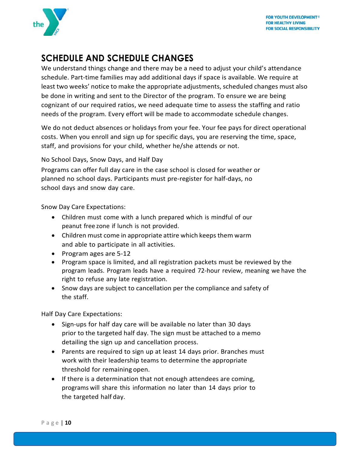

# <span id="page-10-0"></span>**SCHEDULE AND SCHEDULE CHANGES**

We understand things change and there may be a need to adjust your child's attendance schedule. Part-time families may add additional days if space is available. We require at least two weeks' notice to make the appropriate adjustments, scheduled changes must also be done in writing and sent to the Director of the program. To ensure we are being cognizant of our required ratios, we need adequate time to assess the staffing and ratio needs of the program. Every effort will be made to accommodate schedule changes.

We do not deduct absences or holidays from your fee. Your fee pays for direct operational costs. When you enroll and sign up for specific days, you are reserving the time, space, staff, and provisions for your child, whether he/she attends or not.

<span id="page-10-1"></span>No School Days, Snow Days, and Half Day

Programs can offer full day care in the case school is closed for weather or planned no school days. Participants must pre-register for half-days, no school days and snow day care.

<span id="page-10-2"></span>Snow Day Care Expectations:

- Children must come with a lunch prepared which is mindful of our peanut free zone if lunch is not provided.
- Children must come in appropriate attire which keeps them warm and able to participate in all activities.
- Program ages are 5-12
- Program space is limited, and all registration packets must be reviewed by the program leads. Program leads have a required 72-hour review, meaning we have the right to refuse any late registration.
- Snow days are subject to cancellation per the compliance and safety of the staff.

<span id="page-10-3"></span>Half Day Care Expectations:

- Sign-ups for half day care will be available no later than 30 days prior to the targeted half day. The sign must be attached to a memo detailing the sign up and cancellation process.
- Parents are required to sign up at least 14 days prior. Branches must work with their leadership teams to determine the appropriate threshold for remaining open.
- If there is a determination that not enough attendees are coming, programs will share this information no later than 14 days prior to the targeted half day.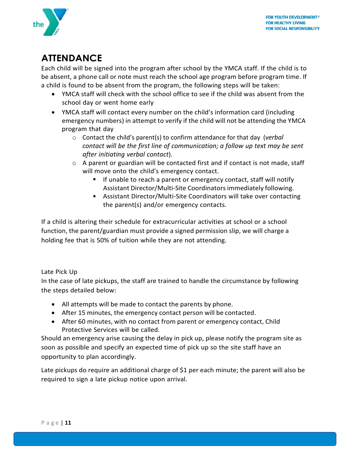

# <span id="page-11-0"></span>**ATTENDANCE**

Each child will be signed into the program after school by the YMCA staff. If the child is to be absent, a phone call or note must reach the school age program before program time. If a child is found to be absent from the program, the following steps will be taken:

- YMCA staff will check with the school office to see if the child was absent from the school day or went home early
- YMCA staff will contact every number on the child's information card (including emergency numbers) in attempt to verify if the child will not be attending the YMCA program that day
	- o Contact the child's parent(s) to confirm attendance for that day (*verbal contact will be the first line of communication; a follow up text may be sent after initiating verbal contact*).
	- $\circ$  A parent or guardian will be contacted first and if contact is not made, staff will move onto the child's emergency contact.
		- **If unable to reach a parent or emergency contact, staff will notify** Assistant Director/Multi-Site Coordinators immediately following.
		- Assistant Director/Multi-Site Coordinators will take over contacting the parent(s) and/or emergency contacts.

If a child is altering their schedule for extracurricular activities at school or a school function, the parent/guardian must provide a signed permission slip, we will charge a holding fee that is 50% of tuition while they are not attending.

### <span id="page-11-1"></span>Late Pick Up

In the case of late pickups, the staff are trained to handle the circumstance by following the steps detailed below:

- All attempts will be made to contact the parents by phone.
- After 15 minutes, the emergency contact person will be contacted.
- After 60 minutes, with no contact from parent or emergency contact, Child Protective Services will be called.

Should an emergency arise causing the delay in pick up, please notify the program site as soon as possible and specify an expected time of pick up so the site staff have an opportunity to plan accordingly.

Late pickups do require an additional charge of \$1 per each minute; the parent will also be required to sign a late pickup notice upon arrival.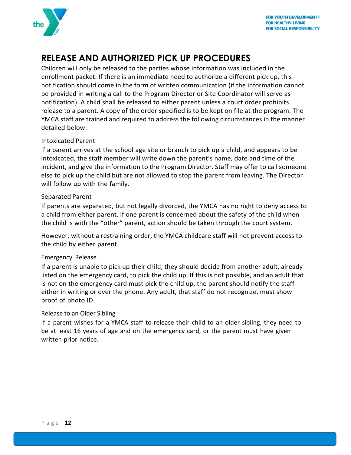

# <span id="page-12-0"></span>**RELEASE AND AUTHORIZED PICK UP PROCEDURES**

Children will only be released to the parties whose information was included in the enrollment packet. If there is an immediate need to authorize a different pick up, this notification should come in the form of written communication (if the information cannot be provided in writing a call to the Program Director or Site Coordinator will serve as notification). A child shall be released to either parent unless a court order prohibits release to a parent. A copy of the order specified is to be kept on file at the program. The YMCA staff are trained and required to address the following circumstances in the manner detailed below:

### <span id="page-12-1"></span>Intoxicated Parent

If a parent arrives at the school age site or branch to pick up a child, and appears to be intoxicated, the staff member will write down the parent's name, date and time of the incident, and give the information to the Program Director. Staff may offer to call someone else to pick up the child but are not allowed to stop the parent from leaving. The Director will follow up with the family.

### <span id="page-12-2"></span>Separated Parent

If parents are separated, but not legally divorced, the YMCA has no right to deny access to a child from either parent. If one parent is concerned about the safety of the child when the child is with the "other" parent, action should be taken through the court system.

However, without a restraining order, the YMCA childcare staff will not prevent access to the child by either parent.

### <span id="page-12-3"></span>Emergency Release

If a parent is unable to pick up their child, they should decide from another adult, already listed on the emergency card, to pick the child up. If this is not possible, and an adult that is not on the emergency card must pick the child up, the parent should notify the staff either in writing or over the phone. Any adult, that staff do not recognize, must show proof of photo ID.

### <span id="page-12-4"></span>Release to an Older Sibling

If a parent wishes for a YMCA staff to release their child to an older sibling, they need to be at least 16 years of age and on the emergency card, or the parent must have given written prior notice.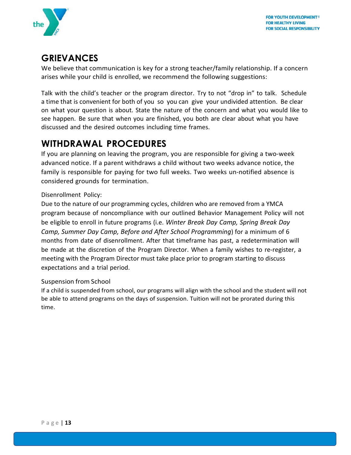

# <span id="page-13-0"></span>**GRIEVANCES**

We believe that communication is key for a strong teacher/family relationship. If a concern arises while your child is enrolled, we recommend the following suggestions:

Talk with the child's teacher or the program director. Try to not "drop in" to talk. Schedule a time that is convenient for both of you so you can give your undivided attention. Be clear on what your question is about. State the nature of the concern and what you would like to see happen. Be sure that when you are finished, you both are clear about what you have discussed and the desired outcomes including time frames.

# <span id="page-13-1"></span>**WITHDRAWAL PROCEDURES**

If you are planning on leaving the program, you are responsible for giving a two-week advanced notice. If a parent withdraws a child without two weeks advance notice, the family is responsible for paying for two full weeks. Two weeks un-notified absence is considered grounds for termination.

<span id="page-13-2"></span>Disenrollment Policy:

Due to the nature of our programming cycles, children who are removed from a YMCA program because of noncompliance with our outlined Behavior Management Policy will not be eligible to enroll in future programs (i.e. *Winter Break Day Camp, Spring Break Day Camp, Summer Day Camp, Before and After School Programming*) for a minimum of 6 months from date of disenrollment. After that timeframe has past, a redetermination will be made at the discretion of the Program Director. When a family wishes to re-register, a meeting with the Program Director must take place prior to program starting to discuss expectations and a trial period.

### <span id="page-13-3"></span>Suspension from School

If a child is suspended from school, our programs will align with the school and the student will not be able to attend programs on the days of suspension. Tuition will not be prorated during this time.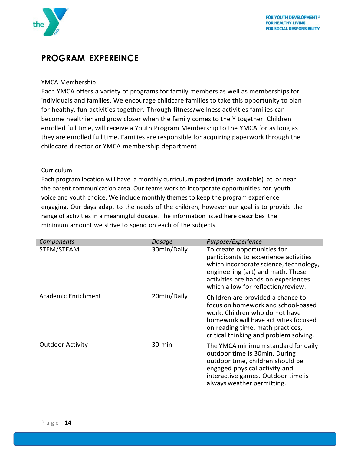

## <span id="page-14-0"></span>**PROGRAM EXPEREINCE**

### <span id="page-14-1"></span>YMCA Membership

Each YMCA offers a variety of programs for family members as well as memberships for individuals and families. We encourage childcare families to take this opportunity to plan for healthy, fun activities together. Through fitness/wellness activities families can become healthier and grow closer when the family comes to the Y together. Children enrolled full time, will receive a Youth Program Membership to the YMCA for as long as they are enrolled full time. Families are responsible for acquiring paperwork through the childcare director or YMCA membership department

### <span id="page-14-2"></span>Curriculum

Each program location will have a monthly curriculum posted (made available) at or near the parent communication area. Our teams work to incorporate opportunities for youth voice and youth choice. We include monthly themes to keep the program experience engaging. Our days adapt to the needs of the children, however our goal is to provide the range of activities in a meaningful dosage. The information listed here describes the minimum amount we strive to spend on each of the subjects.

| Components              | Dosage      | Purpose/Experience                                                                                                                                                                                                               |
|-------------------------|-------------|----------------------------------------------------------------------------------------------------------------------------------------------------------------------------------------------------------------------------------|
| STEM/STEAM              | 30min/Daily | To create opportunities for<br>participants to experience activities<br>which incorporate science, technology,<br>engineering (art) and math. These<br>activities are hands on experiences<br>which allow for reflection/review. |
| Academic Enrichment     | 20min/Daily | Children are provided a chance to<br>focus on homework and school-based<br>work. Children who do not have<br>homework will have activities focused<br>on reading time, math practices,<br>critical thinking and problem solving. |
| <b>Outdoor Activity</b> | 30 min      | The YMCA minimum standard for daily<br>outdoor time is 30min. During<br>outdoor time, children should be<br>engaged physical activity and<br>interactive games. Outdoor time is<br>always weather permitting.                    |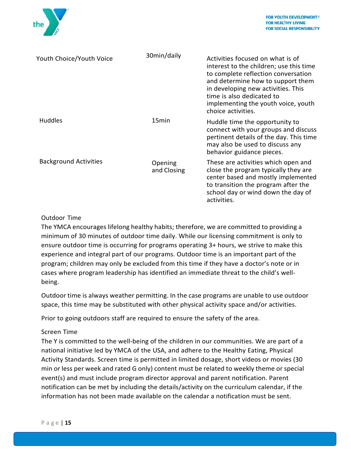

| Youth Choice/Youth Voice     | 30min/daily            | Activities focused on what is of<br>interest to the children; use this time<br>to complete reflection conversation<br>and determine how to support them<br>in developing new activities. This<br>time is also dedicated to<br>implementing the youth voice, youth<br>choice activities. |
|------------------------------|------------------------|-----------------------------------------------------------------------------------------------------------------------------------------------------------------------------------------------------------------------------------------------------------------------------------------|
| <b>Huddles</b>               | 15 <sub>min</sub>      | Huddle time the opportunity to<br>connect with your groups and discuss<br>pertinent details of the day. This time<br>may also be used to discuss any<br>behavior guidance pieces.                                                                                                       |
| <b>Background Activities</b> | Opening<br>and Closing | These are activities which open and<br>close the program typically they are<br>center based and mostly implemented<br>to transition the program after the<br>school day or wind down the day of<br>activities.                                                                          |

### <span id="page-15-0"></span>Outdoor Time

The YMCA encourages lifelong healthy habits; therefore, we are committed to providing a minimum of 30 minutes of outdoor time daily. While our licensing commitment is only to ensure outdoor time is occurring for programs operating 3+ hours, we strive to make this experience and integral part of our programs. Outdoor time is an important part of the program; children may only be excluded from this time if they have a doctor's note or in cases where program leadership has identified an immediate threat to the child's wellbeing.

Outdoor time is always weather permitting. In the case programs are unable to use outdoor space, this time may be substituted with other physical activity space and/or activities.

Prior to going outdoors staff are required to ensure the safety of the area.

### <span id="page-15-1"></span>Screen Time

The Y is committed to the well-being of the children in our communities. We are part of a national initiative led by YMCA of the USA, and adhere to the Healthy Eating, Physical Activity Standards. Screen time is permitted in limited dosage, short videos or movies (30 min or less per week and rated G only) content must be related to weekly theme or special event(s) and must include program director approval and parent notification. Parent notification can be met by including the details/activity on the curriculum calendar, if the information has not been made available on the calendar a notification must be sent.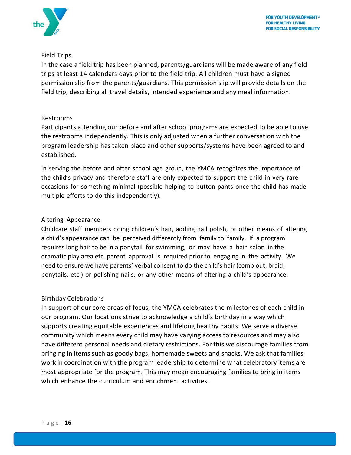

### <span id="page-16-0"></span>Field Trips

In the case a field trip has been planned, parents/guardians will be made aware of any field trips at least 14 calendars days prior to the field trip. All children must have a signed permission slip from the parents/guardians. This permission slip will provide details on the field trip, describing all travel details, intended experience and any meal information.

### <span id="page-16-1"></span>Restrooms

Participants attending our before and after school programs are expected to be able to use the restrooms independently. This is only adjusted when a further conversation with the program leadership has taken place and other supports/systems have been agreed to and established.

In serving the before and after school age group, the YMCA recognizes the importance of the child's privacy and therefore staff are only expected to support the child in very rare occasions for something minimal (possible helping to button pants once the child has made multiple efforts to do this independently).

### <span id="page-16-2"></span>Altering Appearance

Childcare staff members doing children's hair, adding nail polish, or other means of altering a child's appearance can be perceived differently from family to family. If a program requires long hair to be in a ponytail for swimming, or may have a hair salon in the dramatic play area etc. parent approval is required prior to engaging in the activity. We need to ensure we have parents' verbal consent to do the child's hair (comb out, braid, ponytails, etc.) or polishing nails, or any other means of altering a child's appearance.

### <span id="page-16-3"></span>Birthday Celebrations

In support of our core areas of focus, the YMCA celebrates the milestones of each child in our program. Our locations strive to acknowledge a child's birthday in a way which supports creating equitable experiences and lifelong healthy habits. We serve a diverse community which means every child may have varying access to resources and may also have different personal needs and dietary restrictions. For this we discourage families from bringing in items such as goody bags, homemade sweets and snacks. We ask that families work in coordination with the program leadership to determine what celebratory items are most appropriate for the program. This may mean encouraging families to bring in items which enhance the curriculum and enrichment activities.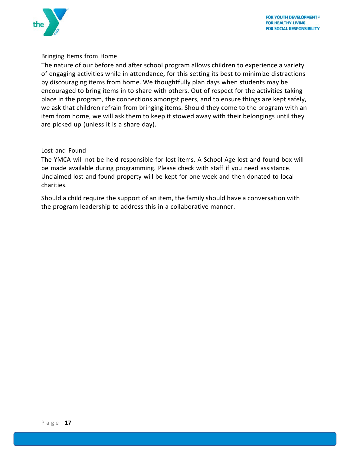

### <span id="page-17-0"></span>Bringing Items from Home

The nature of our before and after school program allows children to experience a variety of engaging activities while in attendance, for this setting its best to minimize distractions by discouraging items from home. We thoughtfully plan days when students may be encouraged to bring items in to share with others. Out of respect for the activities taking place in the program, the connections amongst peers, and to ensure things are kept safely, we ask that children refrain from bringing items. Should they come to the program with an item from home, we will ask them to keep it stowed away with their belongings until they are picked up (unless it is a share day).

### <span id="page-17-1"></span>Lost and Found

The YMCA will not be held responsible for lost items. A School Age lost and found box will be made available during programming. Please check with staff if you need assistance. Unclaimed lost and found property will be kept for one week and then donated to local charities.

Should a child require the support of an item, the family should have a conversation with the program leadership to address this in a collaborative manner.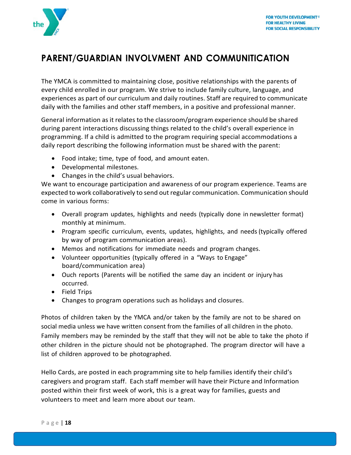

# <span id="page-18-0"></span>**PARENT/GUARDIAN INVOLVMENT AND COMMUNITICATION**

The YMCA is committed to maintaining close, positive relationships with the parents of every child enrolled in our program. We strive to include family culture, language, and experiences as part of our curriculum and daily routines. Staff are required to communicate daily with the families and other staff members, in a positive and professional manner.

General information as it relates to the classroom/program experience should be shared during parent interactions discussing things related to the child's overall experience in programming. If a child is admitted to the program requiring special accommodations a daily report describing the following information must be shared with the parent:

- Food intake; time, type of food, and amount eaten.
- Developmental milestones.
- Changes in the child's usual behaviors.

We want to encourage participation and awareness of our program experience. Teams are expected to work collaboratively to send out regular communication. Communication should come in various forms:

- Overall program updates, highlights and needs (typically done in newsletter format) monthly at minimum.
- Program specific curriculum, events, updates, highlights, and needs (typically offered by way of program communication areas).
- Memos and notifications for immediate needs and program changes.
- Volunteer opportunities (typically offered in a "Ways to Engage" board/communication area)
- Ouch reports (Parents will be notified the same day an incident or injury has occurred.
- Field Trips
- Changes to program operations such as holidays and closures.

Photos of children taken by the YMCA and/or taken by the family are not to be shared on social media unless we have written consent from the families of all children in the photo. Family members may be reminded by the staff that they will not be able to take the photo if other children in the picture should not be photographed. The program director will have a list of children approved to be photographed.

Hello Cards, are posted in each programming site to help families identify their child's caregivers and program staff. Each staff member will have their Picture and Information posted within their first week of work, this is a great way for families, guests and volunteers to meet and learn more about our team.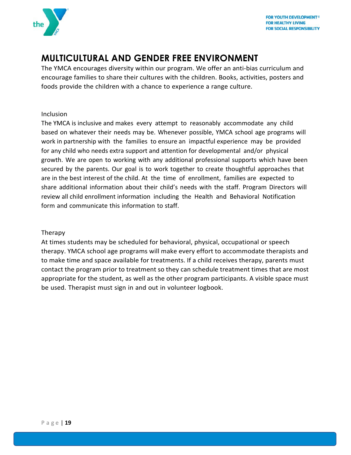

# <span id="page-19-0"></span>**MULTICULTURAL AND GENDER FREE ENVIRONMENT**

The YMCA encourages diversity within our program. We offer an anti-bias curriculum and encourage families to share their cultures with the children. Books, activities, posters and foods provide the children with a chance to experience a range culture.

### <span id="page-19-1"></span>Inclusion

The YMCA is inclusive and makes every attempt to reasonably accommodate any child based on whatever their needs may be. Whenever possible, YMCA school age programs will work in partnership with the families to ensure an impactful experience may be provided for any child who needs extra support and attention for developmental and/or physical growth. We are open to working with any additional professional supports which have been secured by the parents. Our goal is to work together to create thoughtful approaches that are in the best interest of the child. At the time of enrollment, families are expected to share additional information about their child's needs with the staff. Program Directors will review all child enrollment information including the Health and Behavioral Notification form and communicate this information to staff.

### <span id="page-19-2"></span>Therapy

At times students may be scheduled for behavioral, physical, occupational or speech therapy. YMCA school age programs will make every effort to accommodate therapists and to make time and space available for treatments. If a child receives therapy, parents must contact the program prior to treatment so they can schedule treatment times that are most appropriate for the student, as well as the other program participants. A visible space must be used. Therapist must sign in and out in volunteer logbook.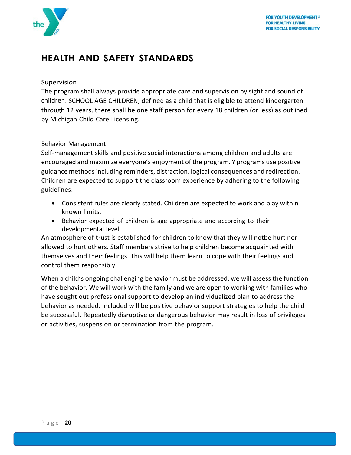

# <span id="page-20-0"></span>**HEALTH AND SAFETY STANDARDS**

### <span id="page-20-1"></span>Supervision

The program shall always provide appropriate care and supervision by sight and sound of children. SCHOOL AGE CHILDREN, defined as a child that is eligible to attend kindergarten through 12 years, there shall be one staff person for every 18 children (or less) as outlined by Michigan Child Care Licensing.

### <span id="page-20-2"></span>Behavior Management

Self-management skills and positive social interactions among children and adults are encouraged and maximize everyone's enjoyment of the program. Y programs use positive guidance methodsincluding reminders, distraction, logical consequences and redirection. Children are expected to support the classroom experience by adhering to the following guidelines:

- Consistent rules are clearly stated. Children are expected to work and play within known limits.
- Behavior expected of children is age appropriate and according to their developmental level.

An atmosphere of trust is established for children to know that they will notbe hurt nor allowed to hurt others. Staff members strive to help children become acquainted with themselves and their feelings. This will help them learn to cope with their feelings and control them responsibly.

When a child's ongoing challenging behavior must be addressed, we will assess the function of the behavior. We will work with the family and we are open to working with families who have sought out professional support to develop an individualized plan to address the behavior as needed. Included will be positive behavior support strategies to help the child be successful. Repeatedly disruptive or dangerous behavior may result in loss of privileges or activities, suspension or termination from the program.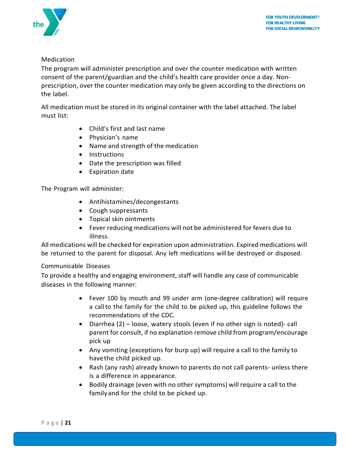

### <span id="page-21-0"></span>Medication

The program will administer prescription and over the counter medication with written consent of the parent/guardian and the child's health care provider once a day. Nonprescription, over the counter medication may only be given according to the directions on the label.

All medication must be stored in its original container with the label attached. The label must list:

- Child's first and last name
- Physician's name
- Name and strength of the medication
- Instructions
- Date the prescription was filled
- Expiration date

The Program will administer:

- Antihistamines/decongestants
- Cough suppressants
- Topical skin ointments
- Fever reducing medications will not be administered for fevers due to illness.

All medications will be checked for expiration upon administration. Expired medications will be returned to the parent for disposal. Any left medications will be destroyed or disposed.

### <span id="page-21-1"></span>Communicable Diseases

To provide a healthy and engaging environment, staff will handle any case of communicable diseases in the following manner:

- Fever 100 by mouth and 99 under arm (one-degree calibration) will require a callto the family for the child to be picked up, this guideline follows the recommendations of the CDC.
- Diarrhea (2) loose, watery stools (even if no other sign is noted)- call parent for consult, if no explanation remove child from program/encourage pick up
- Any vomiting (exceptions for burp up) will require a call to the family to havethe child picked up.
- Rash (any rash) already known to parents do not call parents- unless there is a difference in appearance.
- Bodily drainage (even with no other symptoms) will require a call to the family and for the child to be picked up.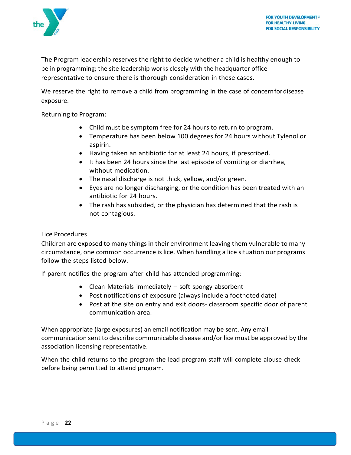

The Program leadership reserves the right to decide whether a child is healthy enough to be in programming; the site leadership works closely with the headquarter office representative to ensure there is thorough consideration in these cases.

We reserve the right to remove a child from programming in the case of concernfordisease exposure.

Returning to Program:

- Child must be symptom free for 24 hours to return to program.
- Temperature has been below 100 degrees for 24 hours without Tylenol or aspirin.
- Having taken an antibiotic for at least 24 hours, if prescribed.
- It has been 24 hours since the last episode of vomiting or diarrhea, without medication.
- The nasal discharge is not thick, yellow, and/or green.
- Eyes are no longer discharging, or the condition has been treated with an antibiotic for 24 hours.
- The rash has subsided, or the physician has determined that the rash is not contagious.

### <span id="page-22-0"></span>Lice Procedures

Children are exposed to many things in their environment leaving them vulnerable to many circumstance, one common occurrence is lice. When handling a lice situation our programs follow the steps listed below.

If parent notifies the program after child has attended programming:

- Clean Materials immediately soft spongy absorbent
- Post notifications of exposure (always include a footnoted date)
- Post at the site on entry and exit doors- classroom specific door of parent communication area.

When appropriate (large exposures) an email notification may be sent. Any email communication sent to describe communicable disease and/or lice must be approved by the association licensing representative.

When the child returns to the program the lead program staff will complete alouse check before being permitted to attend program.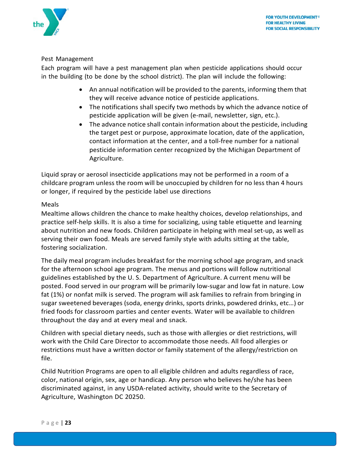

### <span id="page-23-0"></span>Pest Management

Each program will have a pest management plan when pesticide applications should occur in the building (to be done by the school district). The plan will include the following:

- An annual notification will be provided to the parents, informing them that they will receive advance notice of pesticide applications.
- The notifications shall specify two methods by which the advance notice of pesticide application will be given (e-mail, newsletter, sign, etc.).
- The advance notice shall contain information about the pesticide, including the target pest or purpose, approximate location, date of the application, contact information at the center, and a toll-free number for a national pesticide information center recognized by the Michigan Department of Agriculture.

Liquid spray or aerosol insecticide applications may not be performed in a room of a childcare program unless the room will be unoccupied by children for no less than 4 hours or longer, if required by the pesticide label use directions

### <span id="page-23-1"></span>Meals

Mealtime allows children the chance to make healthy choices, develop relationships, and practice self-help skills. It is also a time for socializing, using table etiquette and learning about nutrition and new foods. Children participate in helping with meal set-up, as well as serving their own food. Meals are served family style with adults sitting at the table, fostering socialization.

The daily meal program includes breakfast for the morning school age program, and snack for the afternoon school age program. The menus and portions will follow nutritional guidelines established by the U. S. Department of Agriculture. A current menu will be posted. Food served in our program will be primarily low-sugar and low fat in nature. Low fat (1%) or nonfat milk is served. The program will ask families to refrain from bringing in sugar sweetened beverages (soda, energy drinks, sports drinks, powdered drinks, etc…) or fried foods for classroom parties and center events. Water will be available to children throughout the day and at every meal and snack.

Children with special dietary needs, such as those with allergies or diet restrictions, will work with the Child Care Director to accommodate those needs. All food allergies or restrictions must have a written doctor or family statement of the allergy/restriction on file.

Child Nutrition Programs are open to all eligible children and adults regardless of race, color, national origin, sex, age or handicap. Any person who believes he/she has been discriminated against, in any USDA-related activity, should write to the Secretary of Agriculture, Washington DC 20250.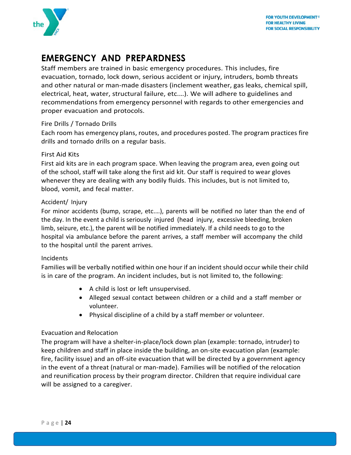

# <span id="page-24-0"></span>**EMERGENCY AND PREPARDNESS**

Staff members are trained in basic emergency procedures. This includes, fire evacuation, tornado, lock down, serious accident or injury, intruders, bomb threats and other natural or man-made disasters (inclement weather, gas leaks, chemical spill, electrical, heat, water, structural failure, etc.…). We will adhere to guidelines and recommendations from emergency personnel with regards to other emergencies and proper evacuation and protocols.

### <span id="page-24-1"></span>Fire Drills / Tornado Drills

Each room has emergency plans, routes, and procedures posted. The program practices fire drills and tornado drills on a regular basis.

### <span id="page-24-2"></span>First Aid Kits

First aid kits are in each program space. When leaving the program area, even going out of the school, staff will take along the first aid kit. Our staff is required to wear gloves whenever they are dealing with any bodily fluids. This includes, but is not limited to, blood, vomit, and fecal matter.

### <span id="page-24-3"></span>Accident/ Injury

For minor accidents (bump, scrape, etc.…), parents will be notified no later than the end of the day. In the event a child is seriously injured (head injury, excessive bleeding, broken limb, seizure, etc.), the parent will be notified immediately. If a child needs to go to the hospital via ambulance before the parent arrives, a staff member will accompany the child to the hospital until the parent arrives.

### <span id="page-24-4"></span>Incidents

Families will be verbally notified within one hour if an incident should occur while their child is in care of the program. An incident includes, but is not limited to, the following:

- A child is lost or left unsupervised.
- Alleged sexual contact between children or a child and a staff member or volunteer.
- Physical discipline of a child by a staff member or volunteer.

### <span id="page-24-5"></span>Evacuation and Relocation

The program will have a shelter-in-place/lock down plan (example: tornado, intruder) to keep children and staff in place inside the building, an on-site evacuation plan (example: fire, facility issue) and an off-site evacuation that will be directed by a government agency in the event of a threat (natural or man-made). Families will be notified of the relocation and reunification process by their program director. Children that require individual care will be assigned to a caregiver.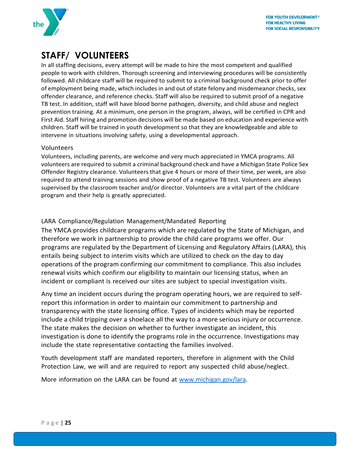

# <span id="page-25-0"></span>**STAFF/ VOLUNTEERS**

In all staffing decisions, every attempt will be made to hire the most competent and qualified people to work with children. Thorough screening and interviewing procedures will be consistently followed. All childcare staff will be required to submit to a criminal background check prior to offer of employment being made, which includes in and out of state felony and misdemeanor checks, sex offender clearance, and reference checks. Staff will also be required to submit proof of a negative TB test. In addition, staff will have blood borne pathogen, diversity, and child abuse and neglect prevention training. At a minimum, one person in the program, always, will be certified in CPR and First Aid. Staff hiring and promotion decisions will be made based on education and experience with children. Staff will be trained in youth development so that they are knowledgeable and able to intervene in situations involving safety, using a developmental approach.

### <span id="page-25-1"></span>Volunteers

Volunteers, including parents, are welcome and very much appreciated in YMCA programs. All volunteers are required to submit a criminal background check and have a Michigan State Police Sex Offender Registry clearance. Volunteers that give 4 hours or more of their time, per week, are also required to attend training sessions and show proof of a negative TB test. Volunteers are always supervised by the classroom teacher and/or director. Volunteers are a vital part of the childcare program and their help is greatly appreciated.

### <span id="page-25-2"></span>LARA Compliance/Regulation Management/Mandated Reporting

The YMCA provides childcare programs which are regulated by the State of Michigan, and therefore we work in partnership to provide the child care programs we offer. Our programs are regulated by the Department of Licensing and Regulatory Affairs (LARA), this entails being subject to interim visits which are utilized to check on the day to day operations of the program confirming our commitment to compliance. This also includes renewal visits which confirm our eligibility to maintain our licensing status, when an incident or compliant is received our sites are subject to special investigation visits.

Any time an incident occurs during the program operating hours, we are required to selfreport this information in order to maintain our commitment to partnership and transparency with the state licensing office. Types of incidents which may be reported include a child tripping over a shoelace all the way to a more serious injury or occurrence. The state makes the decision on whether to further investigate an incident, this investigation is done to identify the programs role in the occurrence. Investigations may include the state representative contacting the families involved.

Youth development staff are mandated reporters, therefore in alignment with the Child Protection Law, we will and are required to report any suspected child abuse/neglect.

More information on the LARA can be found at [www.michigan.gov/lara.](http://www.michigan.gov/lara)